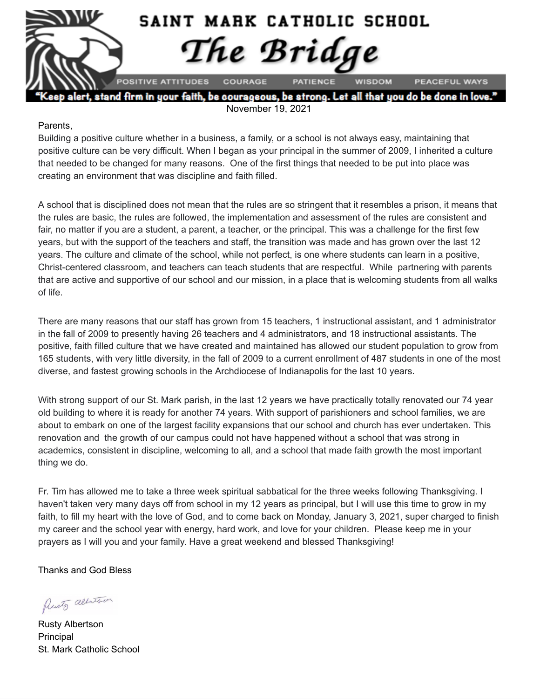

alert, stand firm in your faith, be courageous, be strong. Let all that you do be done in love November 19, 2021

#### Parents,

Building a positive culture whether in a business, a family, or a school is not always easy, maintaining that positive culture can be very difficult. When I began as your principal in the summer of 2009, I inherited a culture that needed to be changed for many reasons. One of the first things that needed to be put into place was creating an environment that was discipline and faith filled.

A school that is disciplined does not mean that the rules are so stringent that it resembles a prison, it means that the rules are basic, the rules are followed, the implementation and assessment of the rules are consistent and fair, no matter if you are a student, a parent, a teacher, or the principal. This was a challenge for the first few years, but with the support of the teachers and staff, the transition was made and has grown over the last 12 years. The culture and climate of the school, while not perfect, is one where students can learn in a positive, Christ-centered classroom, and teachers can teach students that are respectful. While partnering with parents that are active and supportive of our school and our mission, in a place that is welcoming students from all walks of life.

There are many reasons that our staff has grown from 15 teachers, 1 instructional assistant, and 1 administrator in the fall of 2009 to presently having 26 teachers and 4 administrators, and 18 instructional assistants. The positive, faith filled culture that we have created and maintained has allowed our student population to grow from 165 students, with very little diversity, in the fall of 2009 to a current enrollment of 487 students in one of the most diverse, and fastest growing schools in the Archdiocese of Indianapolis for the last 10 years.

With strong support of our St. Mark parish, in the last 12 years we have practically totally renovated our 74 year old building to where it is ready for another 74 years. With support of parishioners and school families, we are about to embark on one of the largest facility expansions that our school and church has ever undertaken. This renovation and the growth of our campus could not have happened without a school that was strong in academics, consistent in discipline, welcoming to all, and a school that made faith growth the most important thing we do.

Fr. Tim has allowed me to take a three week spiritual sabbatical for the three weeks following Thanksgiving. I haven't taken very many days off from school in my 12 years as principal, but I will use this time to grow in my faith, to fill my heart with the love of God, and to come back on Monday, January 3, 2021, super charged to finish my career and the school year with energy, hard work, and love for your children. Please keep me in your prayers as I will you and your family. Have a great weekend and blessed Thanksgiving!

Thanks and God Bless

Presty albertson

Rusty Albertson Principal St. Mark Catholic School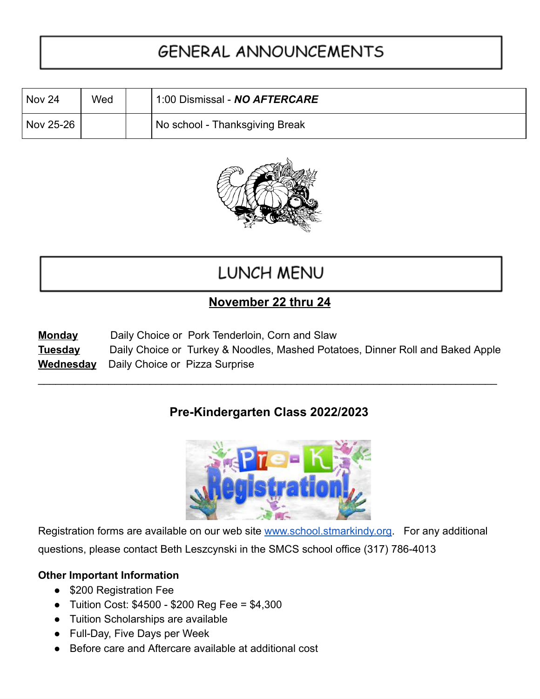## **GENERAL ANNOUNCEMENTS**

| Nov 24    | Wed | 1:00 Dismissal - NO AFTERCARE  |  |
|-----------|-----|--------------------------------|--|
| Nov 25-26 |     | No school - Thanksgiving Break |  |



## LUNCH MENU

### **November 22 thru 24**

| <b>Monday</b>  | Daily Choice or Pork Tenderloin, Corn and Slaw                                 |
|----------------|--------------------------------------------------------------------------------|
| <b>Tuesday</b> | Daily Choice or Turkey & Noodles, Mashed Potatoes, Dinner Roll and Baked Apple |
|                | <b>Wednesday</b> Daily Choice or Pizza Surprise                                |

\_\_\_\_\_\_\_\_\_\_\_\_\_\_\_\_\_\_\_\_\_\_\_\_\_\_\_\_\_\_\_\_\_\_\_\_\_\_\_\_\_\_\_\_\_\_\_\_\_\_\_\_\_\_\_\_\_\_\_\_\_\_\_\_\_\_\_\_\_\_\_\_\_\_\_\_\_\_

### **Pre-Kindergarten Class 2022/2023**



Registration forms are available on our web site [www.school.stmarkindy.org.](http://www.school.stmarkindy.org/) For any additional questions, please contact Beth Leszcynski in the SMCS school office (317) 786-4013

#### **Other Important Information**

- \$200 Registration Fee
- Tuition Cost: \$4500 \$200 Reg Fee = \$4,300
- Tuition Scholarships are available
- Full-Day, Five Days per Week
- Before care and Aftercare available at additional cost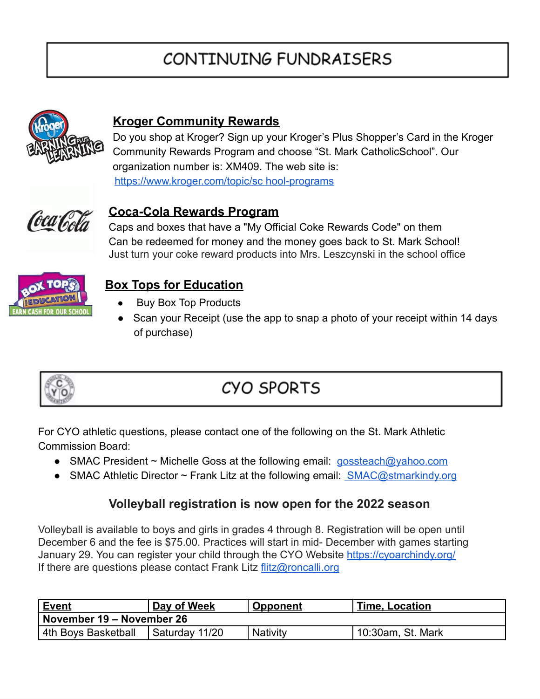# CONTINUING FUNDRAISERS



### **Kroger Community Rewards**

Do you shop at Kroger? Sign up your Kroger's Plus Shopper's Card in the Kroger Community Rewards Program and choose "St. Mark CatholicSchool". Our organization number is: XM409. The web site is: <https://www.kroger.com/topic/sc> hool-programs



#### **Coca-Cola Rewards Program**

 Caps and boxes that have a "My Official Coke Rewards Code" on them Can be redeemed for money and the money goes back to St. Mark School! Just turn your coke reward products into Mrs. Leszcynski in the school office



### **Box Tops for Education**

- **Buy Box Top Products**
- Scan your Receipt (use the app to snap a photo of your receipt within 14 days of purchase)



## **CYO SPORTS**

For CYO athletic questions, please contact one of the following on the St. Mark Athletic Commission Board:

- SMAC President ~ Michelle Goss at the following email: [gossteach@yahoo.com](mailto:gossteach@yahoo.com)
- SMAC Athletic Director ~ Frank Litz at the following email: [SMAC@stmarkindy.org](mailto:SMAC@stmarkindy.org)

#### **Volleyball registration is now open for the 2022 season**

Volleyball is available to boys and girls in grades 4 through 8. Registration will be open until December 6 and the fee is \$75.00. Practices will start in mid- December with games starting January 29. You can register your child through the CYO Website <https://cyoarchindy.org/> If there are questions please contact Frank Litz [flitz@roncalli.org](mailto:flitz@roncalli.org)

| <u>Event</u>              | Day of Week    | <b>Opponent</b> | <b>Time, Location</b> |  |  |  |  |
|---------------------------|----------------|-----------------|-----------------------|--|--|--|--|
| November 19 – November 26 |                |                 |                       |  |  |  |  |
| 4th Boys Basketball       | Saturday 11/20 | <b>Nativity</b> | 10:30am, St. Mark     |  |  |  |  |